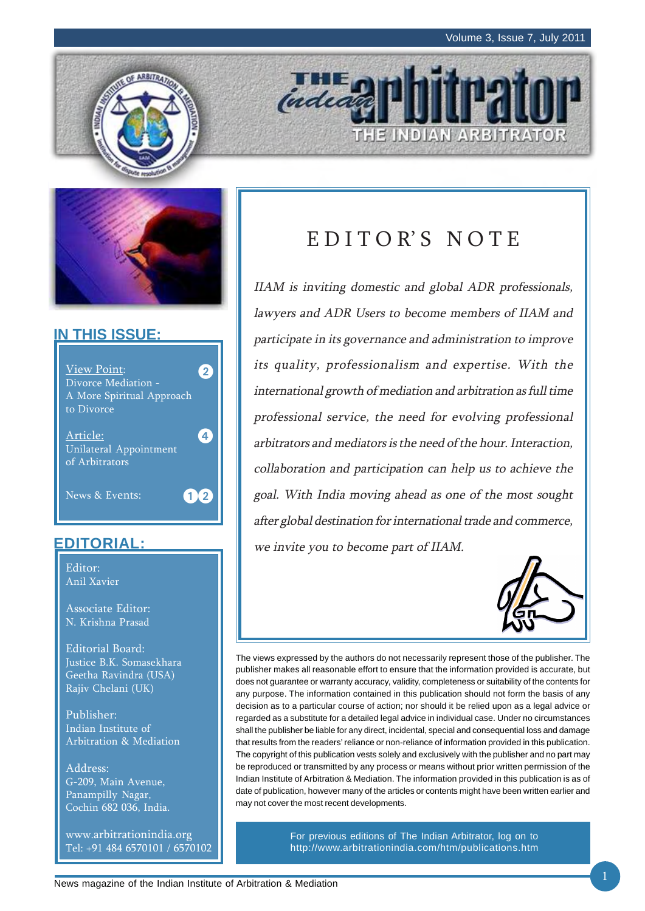HE INDIAN ARBITRATOR





### **IN THIS ISSUE:**



## **EDITORIAL:**

Editor: Anil Xavier

Associate Editor: N. Krishna Prasad

Editorial Board: Justice B.K. Somasekhara Geetha Ravindra (USA) Rajiv Chelani (UK)

Publisher: Indian Institute of Arbitration & Mediation

Address: G-209, Main Avenue, Panampilly Nagar, Cochin 682 036, India.

www.arbitrationindia.org Tel: +91 484 6570101 / 6570102

## EDITOR'S NOTE

indead

IIAM is inviting domestic and global ADR professionals, lawyers and ADR Users to become members of IIAM and participate in its governance and administration to improve its quality, professionalism and expertise. With the international growth of mediation and arbitration as full time professional service, the need for evolving professional arbitrators and mediators is the need of the hour. Interaction, collaboration and participation can help us to achieve the goal. With India moving ahead as one of the most sought after global destination for international trade and commerce, we invite you to become part of IIAM.



The views expressed by the authors do not necessarily represent those of the publisher. The publisher makes all reasonable effort to ensure that the information provided is accurate, but does not guarantee or warranty accuracy, validity, completeness or suitability of the contents for any purpose. The information contained in this publication should not form the basis of any decision as to a particular course of action; nor should it be relied upon as a legal advice or regarded as a substitute for a detailed legal advice in individual case. Under no circumstances shall the publisher be liable for any direct, incidental, special and consequential loss and damage that results from the readers' reliance or non-reliance of information provided in this publication. The copyright of this publication vests solely and exclusively with the publisher and no part may be reproduced or transmitted by any process or means without prior written permission of the Indian Institute of Arbitration & Mediation. The information provided in this publication is as of date of publication, however many of the articles or contents might have been written earlier and may not cover the most recent developments.

> For previous editions of The Indian Arbitrator, log on to http://www.arbitrationindia.com/htm/publications.htm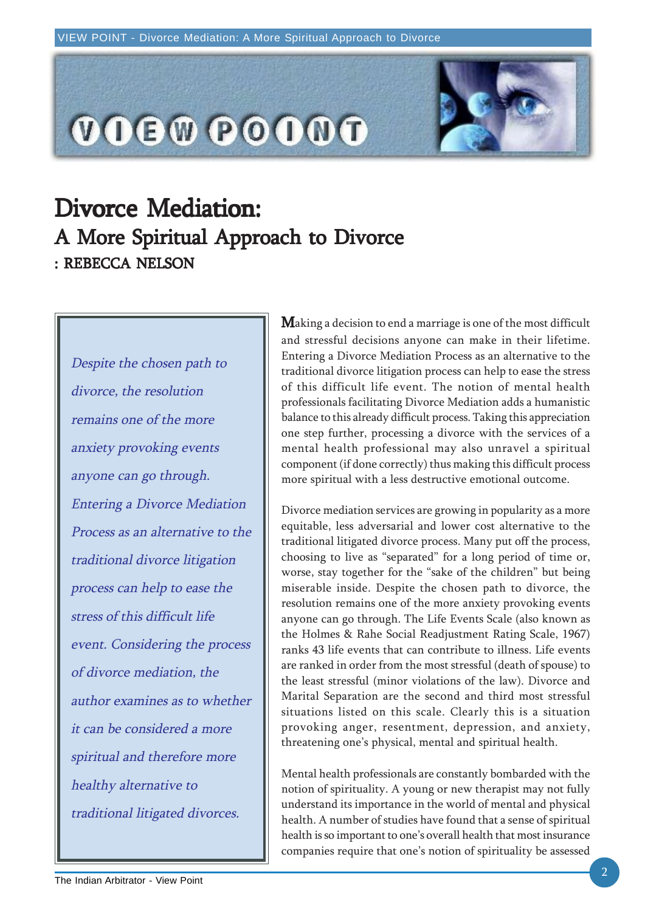

# Divorce Mediation: A More Spiritual Approach to Divorce : REBECCA NELSON

Despite the chosen path to divorce, the resolution remains one of the more anxiety provoking events anyone can go through. Entering a Divorce Mediation Process as an alternative to the traditional divorce litigation process can help to ease the stress of this difficult life event. Considering the process of divorce mediation, the author examines as to whether it can be considered a more spiritual and therefore more healthy alternative to traditional litigated divorces.

 $M$ aking a decision to end a marriage is one of the most difficult and stressful decisions anyone can make in their lifetime. Entering a Divorce Mediation Process as an alternative to the traditional divorce litigation process can help to ease the stress of this difficult life event. The notion of mental health professionals facilitating Divorce Mediation adds a humanistic balance to this already difficult process. Taking this appreciation one step further, processing a divorce with the services of a mental health professional may also unravel a spiritual component (if done correctly) thus making this difficult process more spiritual with a less destructive emotional outcome.

Divorce mediation services are growing in popularity as a more equitable, less adversarial and lower cost alternative to the traditional litigated divorce process. Many put off the process, choosing to live as "separated" for a long period of time or, worse, stay together for the "sake of the children" but being miserable inside. Despite the chosen path to divorce, the resolution remains one of the more anxiety provoking events anyone can go through. The Life Events Scale (also known as the Holmes & Rahe Social Readjustment Rating Scale, 1967) ranks 43 life events that can contribute to illness. Life events are ranked in order from the most stressful (death of spouse) to the least stressful (minor violations of the law). Divorce and Marital Separation are the second and third most stressful situations listed on this scale. Clearly this is a situation provoking anger, resentment, depression, and anxiety, threatening one's physical, mental and spiritual health.

Mental health professionals are constantly bombarded with the notion of spirituality. A young or new therapist may not fully understand its importance in the world of mental and physical health. A number of studies have found that a sense of spiritual health is so important to one's overall health that most insurance companies require that one's notion of spirituality be assessed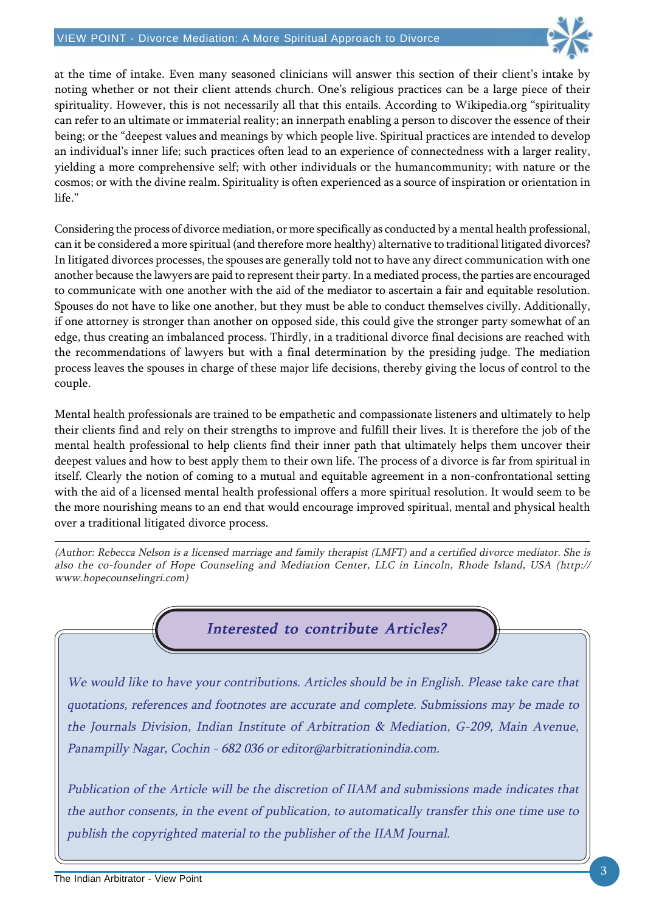

at the time of intake. Even many seasoned clinicians will answer this section of their client's intake by noting whether or not their client attends church. One's religious practices can be a large piece of their spirituality. However, this is not necessarily all that this entails. According to Wikipedia.org "spirituality can refer to an ultimate or immaterial reality; an innerpath enabling a person to discover the essence of their being; or the "deepest values and meanings by which people live. Spiritual practices are intended to develop an individual's inner life; such practices often lead to an experience of connectedness with a larger reality, yielding a more comprehensive self; with other individuals or the humancommunity; with nature or the cosmos; or with the divine realm. Spirituality is often experienced as a source of inspiration or orientation in life."

Considering the process of divorce mediation, or more specifically as conducted by a mental health professional, can it be considered a more spiritual (and therefore more healthy) alternative to traditional litigated divorces? In litigated divorces processes, the spouses are generally told not to have any direct communication with one another because the lawyers are paid to represent their party. In a mediated process, the parties are encouraged to communicate with one another with the aid of the mediator to ascertain a fair and equitable resolution. Spouses do not have to like one another, but they must be able to conduct themselves civilly. Additionally, if one attorney is stronger than another on opposed side, this could give the stronger party somewhat of an edge, thus creating an imbalanced process. Thirdly, in a traditional divorce final decisions are reached with the recommendations of lawyers but with a final determination by the presiding judge. The mediation process leaves the spouses in charge of these major life decisions, thereby giving the locus of control to the couple.

Mental health professionals are trained to be empathetic and compassionate listeners and ultimately to help their clients find and rely on their strengths to improve and fulfill their lives. It is therefore the job of the mental health professional to help clients find their inner path that ultimately helps them uncover their deepest values and how to best apply them to their own life. The process of a divorce is far from spiritual in itself. Clearly the notion of coming to a mutual and equitable agreement in a non-confrontational setting with the aid of a licensed mental health professional offers a more spiritual resolution. It would seem to be the more nourishing means to an end that would encourage improved spiritual, mental and physical health over a traditional litigated divorce process.

(Author: Rebecca Nelson is a licensed marriage and family therapist (LMFT) and a certified divorce mediator. She is also the co-founder of Hope Counseling and Mediation Center, LLC in Lincoln, Rhode Island, USA (http:// www.hopecounselingri.com)



We would like to have your contributions. Articles should be in English. Please take care that quotations, references and footnotes are accurate and complete. Submissions may be made to the Journals Division, Indian Institute of Arbitration & Mediation, G-209, Main Avenue, Panampilly Nagar, Cochin - 682 036 or editor@arbitrationindia.com.

Publication of the Article will be the discretion of IIAM and submissions made indicates that the author consents, in the event of publication, to automatically transfer this one time use to publish the copyrighted material to the publisher of the IIAM Journal.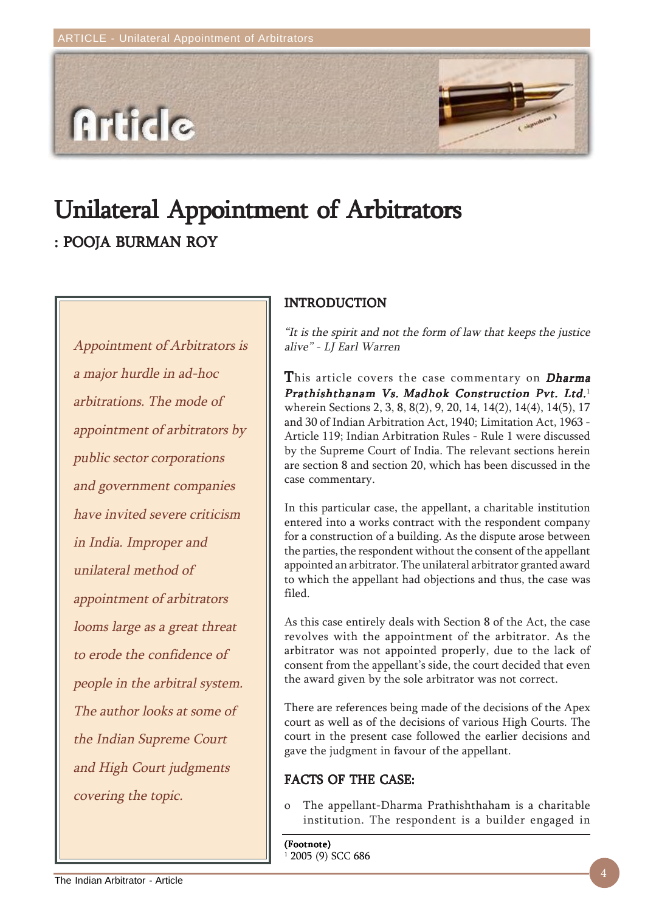

# Unilateral Appointment of Arbitrators : POOJA BURMAN ROY

## INTRODUCTION

"It is the spirit and not the form of law that keeps the justice alive" - LJ Earl Warren

This article covers the case commentary on *Dharma* Prathishthanam Vs. Madhok Construction Pvt. Ltd.<sup>1</sup> wherein Sections 2, 3, 8, 8(2), 9, 20, 14, 14(2), 14(4), 14(5), 17 and 30 of Indian Arbitration Act, 1940; Limitation Act, 1963 - Article 119; Indian Arbitration Rules - Rule 1 were discussed by the Supreme Court of India. The relevant sections herein are section 8 and section 20, which has been discussed in the case commentary.

In this particular case, the appellant, a charitable institution entered into a works contract with the respondent company for a construction of a building. As the dispute arose between the parties, the respondent without the consent of the appellant appointed an arbitrator. The unilateral arbitrator granted award to which the appellant had objections and thus, the case was filed.

As this case entirely deals with Section 8 of the Act, the case revolves with the appointment of the arbitrator. As the arbitrator was not appointed properly, due to the lack of consent from the appellant's side, the court decided that even the award given by the sole arbitrator was not correct.

There are references being made of the decisions of the Apex court as well as of the decisions of various High Courts. The court in the present case followed the earlier decisions and gave the judgment in favour of the appellant.

### FACTS OF THE CASE:

o The appellant-Dharma Prathishthaham is a charitable institution. The respondent is a builder engaged in

(Footnote) 1 2005 (9) SCC 686

a major hurdle in ad-hoc arbitrations. The mode of appointment of arbitrators by public sector corporations and government companies have invited severe criticism in India. Improper and unilateral method of appointment of arbitrators looms large as a great threat to erode the confidence of people in the arbitral system. The author looks at some of the Indian Supreme Court and High Court judgments covering the topic.

Appointment of Arbitrators is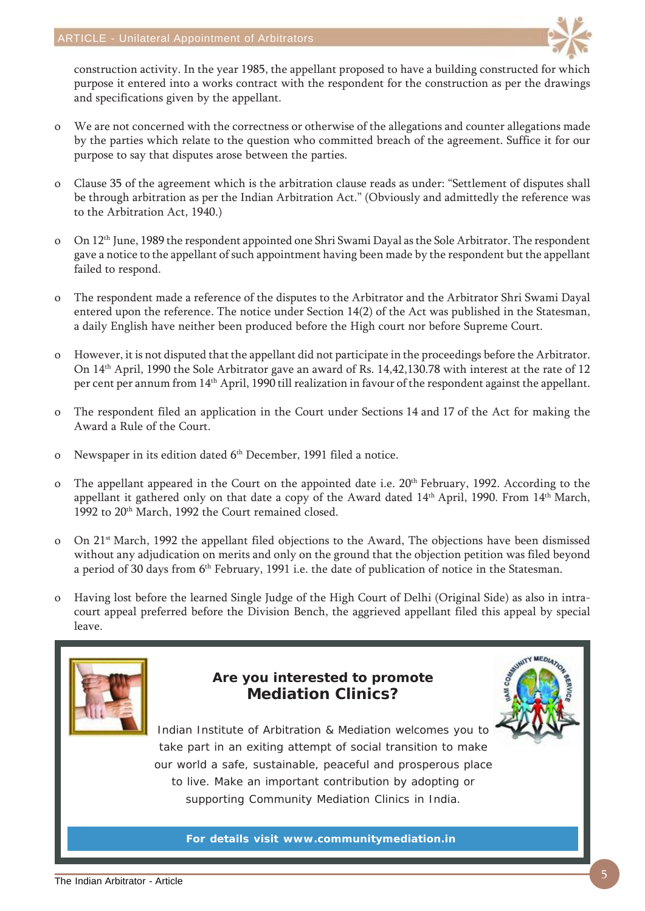

construction activity. In the year 1985, the appellant proposed to have a building constructed for which purpose it entered into a works contract with the respondent for the construction as per the drawings and specifications given by the appellant.

- o We are not concerned with the correctness or otherwise of the allegations and counter allegations made by the parties which relate to the question who committed breach of the agreement. Suffice it for our purpose to say that disputes arose between the parties.
- o Clause 35 of the agreement which is the arbitration clause reads as under: "Settlement of disputes shall be through arbitration as per the Indian Arbitration Act." (Obviously and admittedly the reference was to the Arbitration Act, 1940.)
- o On 12th June, 1989 the respondent appointed one Shri Swami Dayal as the Sole Arbitrator. The respondent gave a notice to the appellant of such appointment having been made by the respondent but the appellant failed to respond.
- o The respondent made a reference of the disputes to the Arbitrator and the Arbitrator Shri Swami Dayal entered upon the reference. The notice under Section 14(2) of the Act was published in the Statesman, a daily English have neither been produced before the High court nor before Supreme Court.
- o However, it is not disputed that the appellant did not participate in the proceedings before the Arbitrator. On 14th April, 1990 the Sole Arbitrator gave an award of Rs. 14,42,130.78 with interest at the rate of 12 per cent per annum from 14th April, 1990 till realization in favour of the respondent against the appellant.
- o The respondent filed an application in the Court under Sections 14 and 17 of the Act for making the Award a Rule of the Court.
- o Newspaper in its edition dated 6th December, 1991 filed a notice.
- o The appellant appeared in the Court on the appointed date i.e. 20<sup>th</sup> February, 1992. According to the appellant it gathered only on that date a copy of the Award dated 14<sup>th</sup> April, 1990. From 14<sup>th</sup> March, 1992 to 20<sup>th</sup> March, 1992 the Court remained closed.
- o On 21st March, 1992 the appellant filed objections to the Award, The objections have been dismissed without any adjudication on merits and only on the ground that the objection petition was filed beyond a period of 30 days from 6<sup>th</sup> February, 1991 i.e. the date of publication of notice in the Statesman.
- Having lost before the learned Single Judge of the High Court of Delhi (Original Side) as also in intracourt appeal preferred before the Division Bench, the aggrieved appellant filed this appeal by special leave.



### **Are you interested to promote Mediation Clinics?**



Indian Institute of Arbitration & Mediation welcomes you to take part in an exiting attempt of social transition to make our world a safe, sustainable, peaceful and prosperous place to live. Make an important contribution by adopting or supporting Community Mediation Clinics in India.

**For details visit www.communitymediation.in**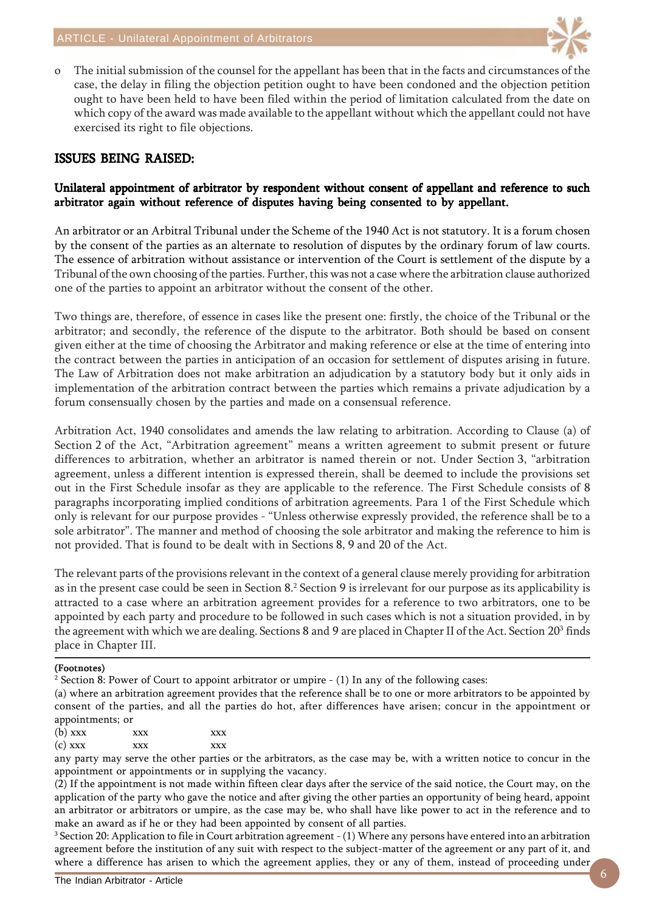

The initial submission of the counsel for the appellant has been that in the facts and circumstances of the case, the delay in filing the objection petition ought to have been condoned and the objection petition ought to have been held to have been filed within the period of limitation calculated from the date on which copy of the award was made available to the appellant without which the appellant could not have exercised its right to file objections.

### ISSUES BEING RAISED:

#### Unilateral appointment of arbitrator by respondent without consent of appellant and reference to such arbitrator again without reference of disputes having being consented to by appellant.

An arbitrator or an Arbitral Tribunal under the Scheme of the 1940 Act is not statutory. It is a forum chosen by the consent of the parties as an alternate to resolution of disputes by the ordinary forum of law courts. The essence of arbitration without assistance or intervention of the Court is settlement of the dispute by a Tribunal of the own choosing of the parties. Further, this was not a case where the arbitration clause authorized one of the parties to appoint an arbitrator without the consent of the other.

Two things are, therefore, of essence in cases like the present one: firstly, the choice of the Tribunal or the arbitrator; and secondly, the reference of the dispute to the arbitrator. Both should be based on consent given either at the time of choosing the Arbitrator and making reference or else at the time of entering into the contract between the parties in anticipation of an occasion for settlement of disputes arising in future. The Law of Arbitration does not make arbitration an adjudication by a statutory body but it only aids in implementation of the arbitration contract between the parties which remains a private adjudication by a forum consensually chosen by the parties and made on a consensual reference.

Arbitration Act, 1940 consolidates and amends the law relating to arbitration. According to Clause (a) of Section 2 of the Act, "Arbitration agreement" means a written agreement to submit present or future differences to arbitration, whether an arbitrator is named therein or not. Under Section 3, "arbitration agreement, unless a different intention is expressed therein, shall be deemed to include the provisions set out in the First Schedule insofar as they are applicable to the reference. The First Schedule consists of 8 paragraphs incorporating implied conditions of arbitration agreements. Para 1 of the First Schedule which only is relevant for our purpose provides - "Unless otherwise expressly provided, the reference shall be to a sole arbitrator". The manner and method of choosing the sole arbitrator and making the reference to him is not provided. That is found to be dealt with in Sections 8, 9 and 20 of the Act.

The relevant parts of the provisions relevant in the context of a general clause merely providing for arbitration as in the present case could be seen in Section 8.<sup>2</sup> Section 9 is irrelevant for our purpose as its applicability is attracted to a case where an arbitration agreement provides for a reference to two arbitrators, one to be appointed by each party and procedure to be followed in such cases which is not a situation provided, in by the agreement with which we are dealing. Sections  $8$  and  $9$  are placed in Chapter II of the Act. Section  $20^3$  finds place in Chapter III.

#### (Footnotes)

2 Section 8: Power of Court to appoint arbitrator or umpire - (1) In any of the following cases:

(a) where an arbitration agreement provides that the reference shall be to one or more arbitrators to be appointed by consent of the parties, and all the parties do hot, after differences have arisen; concur in the appointment or appointments; or

 $(b)$  xxx  $xxxx$   $xxxx$  $(c)$  xxx  $xxxx$  xxx

any party may serve the other parties or the arbitrators, as the case may be, with a written notice to concur in the appointment or appointments or in supplying the vacancy.

(2) If the appointment is not made within fifteen clear days after the service of the said notice, the Court may, on the application of the party who gave the notice and after giving the other parties an opportunity of being heard, appoint an arbitrator or arbitrators or umpire, as the case may be, who shall have like power to act in the reference and to make an award as if he or they had been appointed by consent of all parties.

 $^3$  Section 20: Application to file in Court arbitration agreement - (1) Where any persons have entered into an arbitration agreement before the institution of any suit with respect to the subject-matter of the agreement or any part of it, and where a difference has arisen to which the agreement applies, they or any of them, instead of proceeding under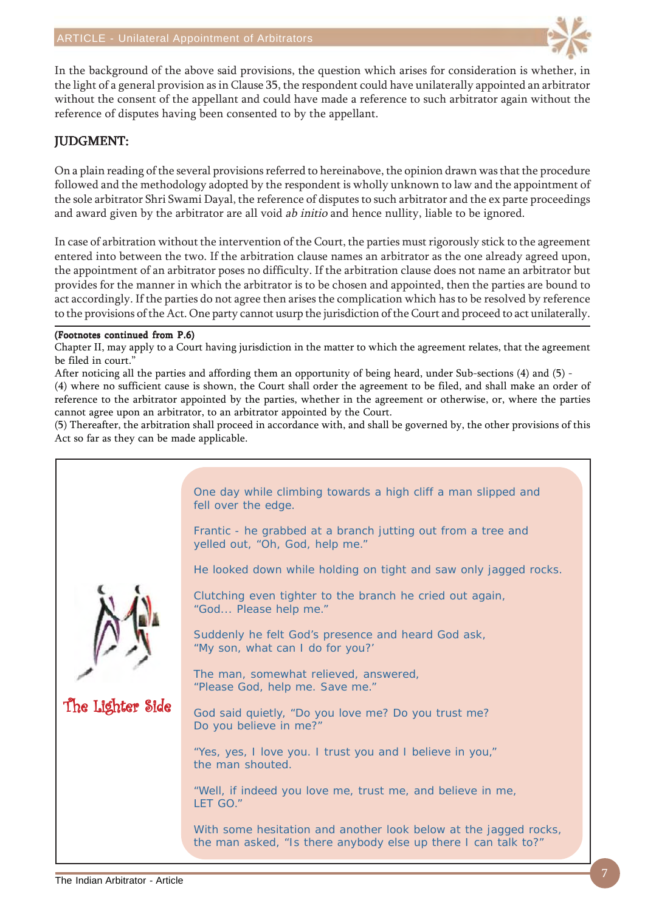

In the background of the above said provisions, the question which arises for consideration is whether, in the light of a general provision as in Clause 35, the respondent could have unilaterally appointed an arbitrator without the consent of the appellant and could have made a reference to such arbitrator again without the reference of disputes having been consented to by the appellant.

### JUDGMENT: JUDGMENT:

On a plain reading of the several provisions referred to hereinabove, the opinion drawn was that the procedure followed and the methodology adopted by the respondent is wholly unknown to law and the appointment of the sole arbitrator Shri Swami Dayal, the reference of disputes to such arbitrator and the ex parte proceedings and award given by the arbitrator are all void ab initio and hence nullity, liable to be ignored.

In case of arbitration without the intervention of the Court, the parties must rigorously stick to the agreement entered into between the two. If the arbitration clause names an arbitrator as the one already agreed upon, the appointment of an arbitrator poses no difficulty. If the arbitration clause does not name an arbitrator but provides for the manner in which the arbitrator is to be chosen and appointed, then the parties are bound to act accordingly. If the parties do not agree then arises the complication which has to be resolved by reference to the provisions of the Act. One party cannot usurp the jurisdiction of the Court and proceed to act unilaterally.

#### (Footnotes continued from P.6)

Chapter II, may apply to a Court having jurisdiction in the matter to which the agreement relates, that the agreement be filed in court."

After noticing all the parties and affording them an opportunity of being heard, under Sub-sections (4) and (5) -

(4) where no sufficient cause is shown, the Court shall order the agreement to be filed, and shall make an order of reference to the arbitrator appointed by the parties, whether in the agreement or otherwise, or, where the parties cannot agree upon an arbitrator, to an arbitrator appointed by the Court.

(5) Thereafter, the arbitration shall proceed in accordance with, and shall be governed by, the other provisions of this Act so far as they can be made applicable.

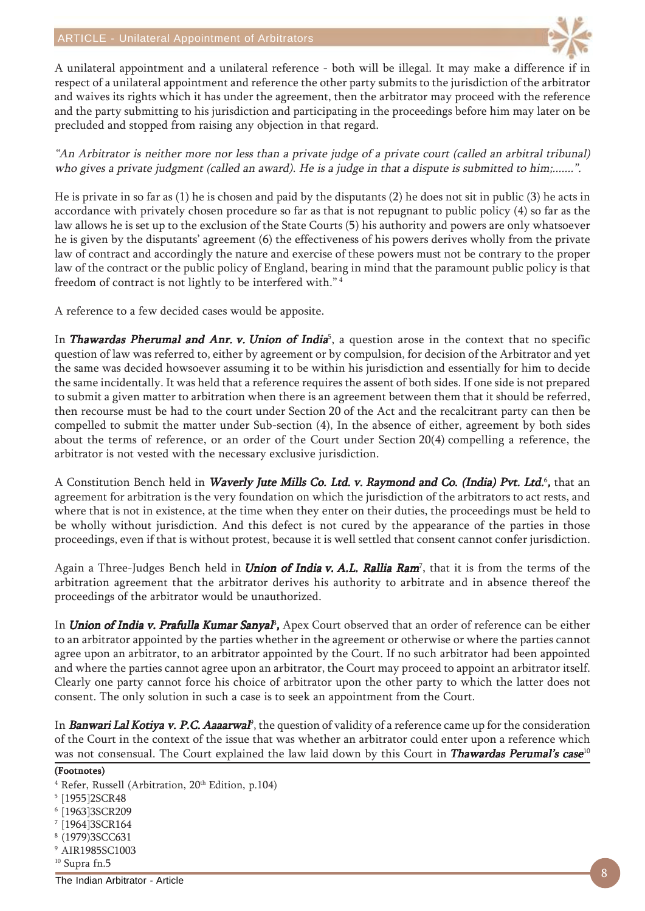

A unilateral appointment and a unilateral reference - both will be illegal. It may make a difference if in respect of a unilateral appointment and reference the other party submits to the jurisdiction of the arbitrator and waives its rights which it has under the agreement, then the arbitrator may proceed with the reference and the party submitting to his jurisdiction and participating in the proceedings before him may later on be precluded and stopped from raising any objection in that regard.

"An Arbitrator is neither more nor less than a private judge of a private court (called an arbitral tribunal) who gives a private judgment (called an award). He is a judge in that a dispute is submitted to him;.......".

He is private in so far as (1) he is chosen and paid by the disputants (2) he does not sit in public (3) he acts in accordance with privately chosen procedure so far as that is not repugnant to public policy (4) so far as the law allows he is set up to the exclusion of the State Courts (5) his authority and powers are only whatsoever he is given by the disputants' agreement (6) the effectiveness of his powers derives wholly from the private law of contract and accordingly the nature and exercise of these powers must not be contrary to the proper law of the contract or the public policy of England, bearing in mind that the paramount public policy is that freedom of contract is not lightly to be interfered with." 4

A reference to a few decided cases would be apposite.

In **Thawardas Pherumal and Anr. v. Union of India**<sup>5</sup>, a question arose in the context that no specific question of law was referred to, either by agreement or by compulsion, for decision of the Arbitrator and yet the same was decided howsoever assuming it to be within his jurisdiction and essentially for him to decide the same incidentally. It was held that a reference requires the assent of both sides. If one side is not prepared to submit a given matter to arbitration when there is an agreement between them that it should be referred, then recourse must be had to the court under Section 20 of the Act and the recalcitrant party can then be compelled to submit the matter under Sub-section (4), In the absence of either, agreement by both sides about the terms of reference, or an order of the Court under Section 20(4) compelling a reference, the arbitrator is not vested with the necessary exclusive jurisdiction.

A Constitution Bench held in **Waverly Jute Mills Co. Ltd. v. Raymond and Co. (India) Pvt. Ltd.**6, that an agreement for arbitration is the very foundation on which the jurisdiction of the arbitrators to act rests, and where that is not in existence, at the time when they enter on their duties, the proceedings must be held to be wholly without jurisdiction. And this defect is not cured by the appearance of the parties in those proceedings, even if that is without protest, because it is well settled that consent cannot confer jurisdiction.

Again a Three-Judges Bench held in **Union of India v. A.L. Rallia Ram**<sup>7</sup>, that it is from the terms of the arbitration agreement that the arbitrator derives his authority to arbitrate and in absence thereof the proceedings of the arbitrator would be unauthorized.

In **Union of India v. Prafulla Kumar Sanyal<sup>8</sup>,** Apex Court observed that an order of reference can be either to an arbitrator appointed by the parties whether in the agreement or otherwise or where the parties cannot agree upon an arbitrator, to an arbitrator appointed by the Court. If no such arbitrator had been appointed and where the parties cannot agree upon an arbitrator, the Court may proceed to appoint an arbitrator itself. Clearly one party cannot force his choice of arbitrator upon the other party to which the latter does not consent. The only solution in such a case is to seek an appointment from the Court.

In *Banwari Lal Kotiya v. P.C. Aaaarwal***<sup>p</sup>,** the question of validity of a reference came up for the consideration of the Court in the context of the issue that was whether an arbitrator could enter upon a reference which was not consensual. The Court explained the law laid down by this Court in **Thawardas Perumal's case**<sup>10</sup>

(Footnotes)

- 5 [1955]2SCR48
- 6 [1963]3SCR209
- 7 [1964]3SCR164
- 8 (1979)3SCC631
- 9 AIR1985SC1003
- 10 Supra fn.5

<sup>&</sup>lt;sup>4</sup> Refer, Russell (Arbitration, 20<sup>th</sup> Edition, p.104)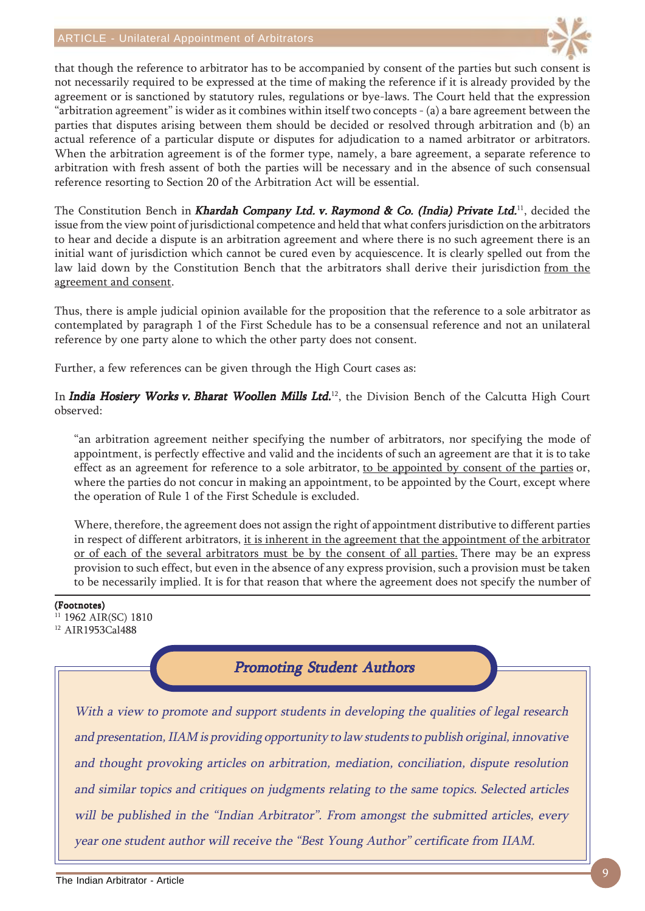#### ARTICLE - Unilateral Appointment of Arbitrators



that though the reference to arbitrator has to be accompanied by consent of the parties but such consent is not necessarily required to be expressed at the time of making the reference if it is already provided by the agreement or is sanctioned by statutory rules, regulations or bye-laws. The Court held that the expression "arbitration agreement" is wider as it combines within itself two concepts - (a) a bare agreement between the parties that disputes arising between them should be decided or resolved through arbitration and (b) an actual reference of a particular dispute or disputes for adjudication to a named arbitrator or arbitrators. When the arbitration agreement is of the former type, namely, a bare agreement, a separate reference to arbitration with fresh assent of both the parties will be necessary and in the absence of such consensual reference resorting to Section 20 of the Arbitration Act will be essential.

The Constitution Bench in Khardah Company Ltd. v. Raymond & Co. (India) Private Ltd.<sup>11</sup>, decided the issue from the view point of jurisdictional competence and held that what confers jurisdiction on the arbitrators to hear and decide a dispute is an arbitration agreement and where there is no such agreement there is an initial want of jurisdiction which cannot be cured even by acquiescence. It is clearly spelled out from the law laid down by the Constitution Bench that the arbitrators shall derive their jurisdiction from the agreement and consent.

Thus, there is ample judicial opinion available for the proposition that the reference to a sole arbitrator as contemplated by paragraph 1 of the First Schedule has to be a consensual reference and not an unilateral reference by one party alone to which the other party does not consent.

Further, a few references can be given through the High Court cases as:

In India Hosiery Works v. Bharat Woollen Mills Ltd.<sup>12</sup>, the Division Bench of the Calcutta High Court observed:

"an arbitration agreement neither specifying the number of arbitrators, nor specifying the mode of appointment, is perfectly effective and valid and the incidents of such an agreement are that it is to take effect as an agreement for reference to a sole arbitrator, to be appointed by consent of the parties or, where the parties do not concur in making an appointment, to be appointed by the Court, except where the operation of Rule 1 of the First Schedule is excluded.

Where, therefore, the agreement does not assign the right of appointment distributive to different parties in respect of different arbitrators, it is inherent in the agreement that the appointment of the arbitrator or of each of the several arbitrators must be by the consent of all parties. There may be an express provision to such effect, but even in the absence of any express provision, such a provision must be taken to be necessarily implied. It is for that reason that where the agreement does not specify the number of

#### (Footnotes)

- <sup>11</sup> 1962 AIR(SC) 1810
- 12 AIR1953Cal488

### **Promoting Student Authors**

With a view to promote and support students in developing the qualities of legal research and presentation, IIAM is providing opportunity to law students to publish original, innovative and thought provoking articles on arbitration, mediation, conciliation, dispute resolution and similar topics and critiques on judgments relating to the same topics. Selected articles will be published in the "Indian Arbitrator". From amongst the submitted articles, every year one student author will receive the "Best Young Author" certificate from IIAM.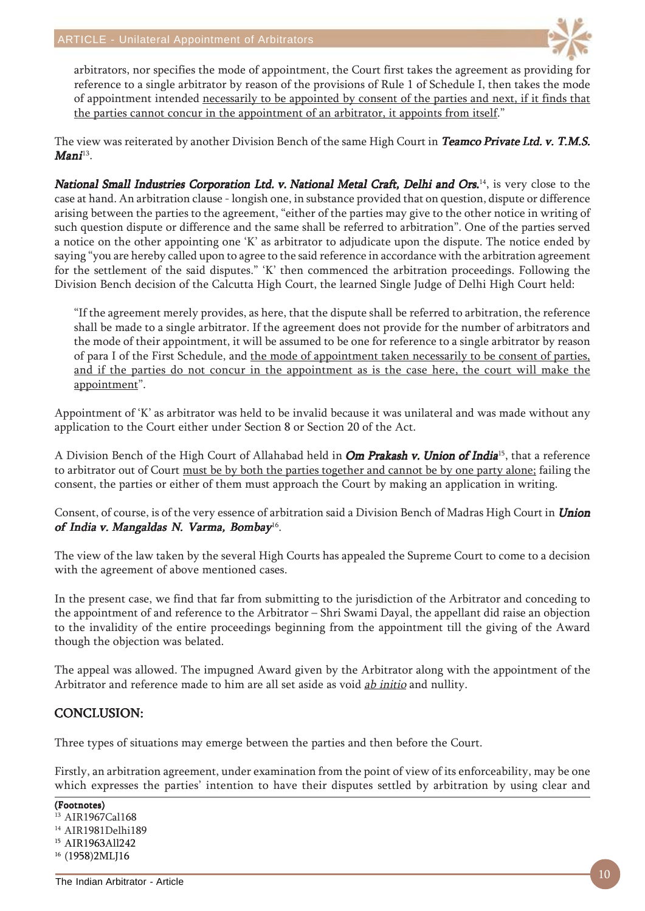

arbitrators, nor specifies the mode of appointment, the Court first takes the agreement as providing for reference to a single arbitrator by reason of the provisions of Rule 1 of Schedule I, then takes the mode of appointment intended necessarily to be appointed by consent of the parties and next, if it finds that the parties cannot concur in the appointment of an arbitrator, it appoints from itself."

The view was reiterated by another Division Bench of the same High Court in Teamco Private Ltd. v. T.M.S.  $\boldsymbol{M}$ ani $^{13}$ .

National Small Industries Corporation Ltd. v. National Metal Craft, Delhi and Ors.<sup>14</sup>, is very close to the case at hand. An arbitration clause - longish one, in substance provided that on question, dispute or difference arising between the parties to the agreement, "either of the parties may give to the other notice in writing of such question dispute or difference and the same shall be referred to arbitration". One of the parties served a notice on the other appointing one 'K' as arbitrator to adjudicate upon the dispute. The notice ended by saying "you are hereby called upon to agree to the said reference in accordance with the arbitration agreement for the settlement of the said disputes." 'K' then commenced the arbitration proceedings. Following the Division Bench decision of the Calcutta High Court, the learned Single Judge of Delhi High Court held:

"If the agreement merely provides, as here, that the dispute shall be referred to arbitration, the reference shall be made to a single arbitrator. If the agreement does not provide for the number of arbitrators and the mode of their appointment, it will be assumed to be one for reference to a single arbitrator by reason of para I of the First Schedule, and the mode of appointment taken necessarily to be consent of parties, and if the parties do not concur in the appointment as is the case here, the court will make the appointment".

Appointment of 'K' as arbitrator was held to be invalid because it was unilateral and was made without any application to the Court either under Section 8 or Section 20 of the Act.

A Division Bench of the High Court of Allahabad held in *Om Prakash v. Union of India*<sup>15</sup>, that a reference to arbitrator out of Court must be by both the parties together and cannot be by one party alone; failing the consent, the parties or either of them must approach the Court by making an application in writing.

Consent, of course, is of the very essence of arbitration said a Division Bench of Madras High Court in *Union* of India v. Mangaldas N. Varma, Bombay<sup>16</sup>.

The view of the law taken by the several High Courts has appealed the Supreme Court to come to a decision with the agreement of above mentioned cases.

In the present case, we find that far from submitting to the jurisdiction of the Arbitrator and conceding to the appointment of and reference to the Arbitrator – Shri Swami Dayal, the appellant did raise an objection to the invalidity of the entire proceedings beginning from the appointment till the giving of the Award though the objection was belated.

The appeal was allowed. The impugned Award given by the Arbitrator along with the appointment of the Arbitrator and reference made to him are all set aside as void ab initio and nullity.

### CONCLUSION: CONCLUSION:

Three types of situations may emerge between the parties and then before the Court.

Firstly, an arbitration agreement, under examination from the point of view of its enforceability, may be one which expresses the parties' intention to have their disputes settled by arbitration by using clear and

(Footnotes) 13 AIR1967Cal168 14 AIR1981Delhi189 15 AIR1963All242 <sup>16</sup> (1958)2MLJ16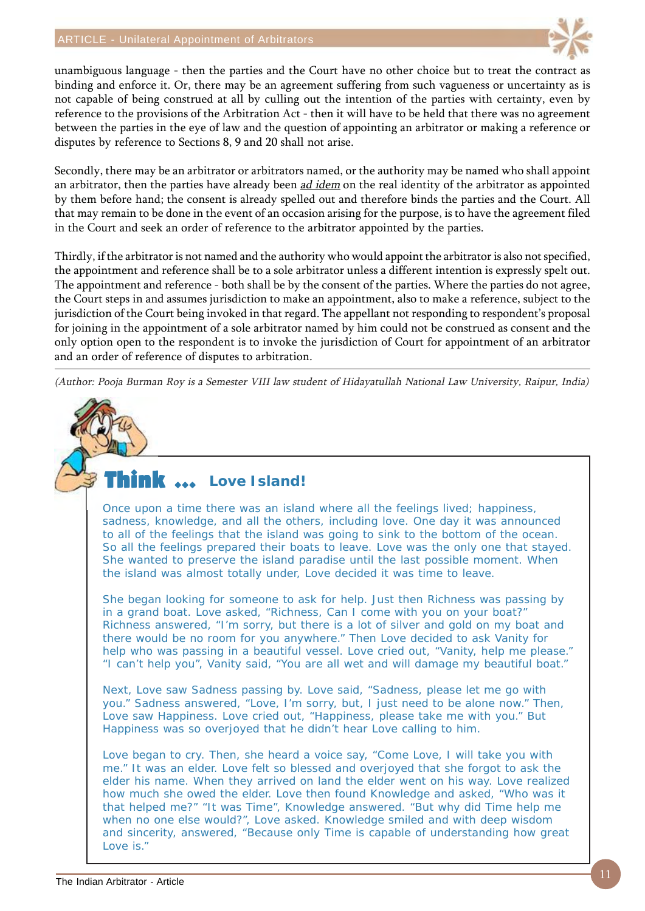#### ARTICLE - Unilateral Appointment of Arbitrators



unambiguous language - then the parties and the Court have no other choice but to treat the contract as binding and enforce it. Or, there may be an agreement suffering from such vagueness or uncertainty as is not capable of being construed at all by culling out the intention of the parties with certainty, even by reference to the provisions of the Arbitration Act - then it will have to be held that there was no agreement between the parties in the eye of law and the question of appointing an arbitrator or making a reference or disputes by reference to Sections 8, 9 and 20 shall not arise.

Secondly, there may be an arbitrator or arbitrators named, or the authority may be named who shall appoint an arbitrator, then the parties have already been *ad idem* on the real identity of the arbitrator as appointed by them before hand; the consent is already spelled out and therefore binds the parties and the Court. All that may remain to be done in the event of an occasion arising for the purpose, is to have the agreement filed in the Court and seek an order of reference to the arbitrator appointed by the parties.

Thirdly, if the arbitrator is not named and the authority who would appoint the arbitrator is also not specified, the appointment and reference shall be to a sole arbitrator unless a different intention is expressly spelt out. The appointment and reference - both shall be by the consent of the parties. Where the parties do not agree, the Court steps in and assumes jurisdiction to make an appointment, also to make a reference, subject to the jurisdiction of the Court being invoked in that regard. The appellant not responding to respondent's proposal for joining in the appointment of a sole arbitrator named by him could not be construed as consent and the only option open to the respondent is to invoke the jurisdiction of Court for appointment of an arbitrator and an order of reference of disputes to arbitration.

(Author: Pooja Burman Roy is a Semester VIII law student of Hidayatullah National Law University, Raipur, India)



#### Think  $\ldots$ **Love Island!**

Once upon a time there was an island where all the feelings lived; happiness, sadness, knowledge, and all the others, including love. One day it was announced to all of the feelings that the island was going to sink to the bottom of the ocean. So all the feelings prepared their boats to leave. Love was the only one that stayed. She wanted to preserve the island paradise until the last possible moment. When the island was almost totally under, Love decided it was time to leave.

She began looking for someone to ask for help. Just then Richness was passing by in a grand boat. Love asked, "Richness, Can I come with you on your boat?" Richness answered, "I'm sorry, but there is a lot of silver and gold on my boat and there would be no room for you anywhere." Then Love decided to ask Vanity for help who was passing in a beautiful vessel. Love cried out, "Vanity, help me please." "I can't help you", Vanity said, "You are all wet and will damage my beautiful boat."

Next, Love saw Sadness passing by. Love said, "Sadness, please let me go with you." Sadness answered, "Love, I'm sorry, but, I just need to be alone now." Then, Love saw Happiness. Love cried out, "Happiness, please take me with you." But Happiness was so overjoyed that he didn't hear Love calling to him.

Love began to cry. Then, she heard a voice say, "Come Love, I will take you with me." It was an elder. Love felt so blessed and overjoyed that she forgot to ask the elder his name. When they arrived on land the elder went on his way. Love realized how much she owed the elder. Love then found Knowledge and asked, "Who was it that helped me?" "It was Time", Knowledge answered. "But why did Time help me when no one else would?", Love asked. Knowledge smiled and with deep wisdom and sincerity, answered, "Because only Time is capable of understanding how great Love is."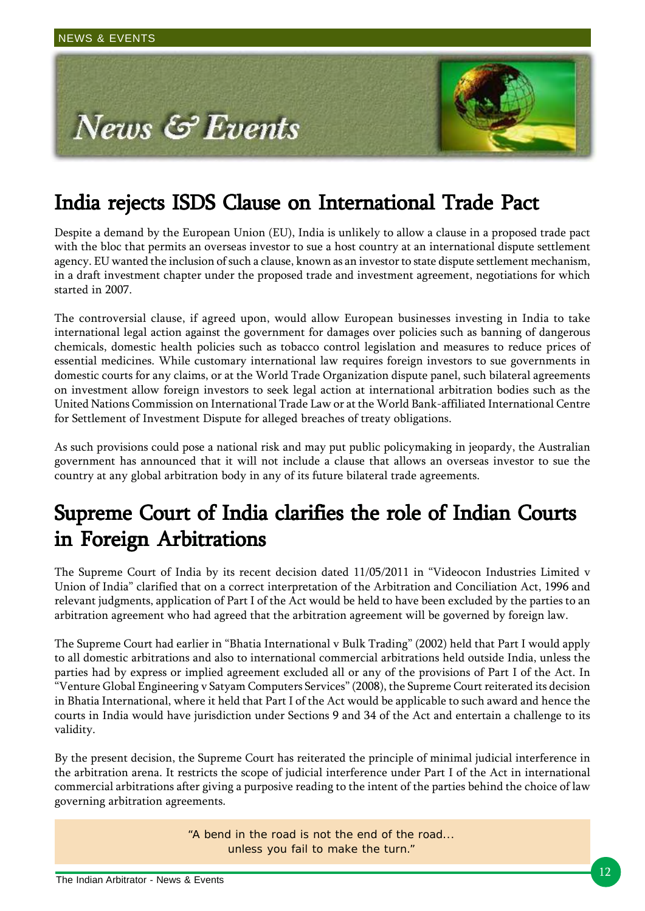

## India rejects ISDS Clause on International Trade Pact

Despite a demand by the European Union (EU), India is unlikely to allow a clause in a proposed trade pact with the bloc that permits an overseas investor to sue a host country at an international dispute settlement agency. EU wanted the inclusion of such a clause, known as an investor to state dispute settlement mechanism, in a draft investment chapter under the proposed trade and investment agreement, negotiations for which started in 2007.

The controversial clause, if agreed upon, would allow European businesses investing in India to take international legal action against the government for damages over policies such as banning of dangerous chemicals, domestic health policies such as tobacco control legislation and measures to reduce prices of essential medicines. While customary international law requires foreign investors to sue governments in domestic courts for any claims, or at the World Trade Organization dispute panel, such bilateral agreements on investment allow foreign investors to seek legal action at international arbitration bodies such as the United Nations Commission on International Trade Law or at the World Bank-affiliated International Centre for Settlement of Investment Dispute for alleged breaches of treaty obligations.

As such provisions could pose a national risk and may put public policymaking in jeopardy, the Australian government has announced that it will not include a clause that allows an overseas investor to sue the country at any global arbitration body in any of its future bilateral trade agreements.

## Supreme Court of India clarifies the role of Indian Courts in Foreign Arbitrations

The Supreme Court of India by its recent decision dated 11/05/2011 in "Videocon Industries Limited v Union of India" clarified that on a correct interpretation of the Arbitration and Conciliation Act, 1996 and relevant judgments, application of Part I of the Act would be held to have been excluded by the parties to an arbitration agreement who had agreed that the arbitration agreement will be governed by foreign law.

The Supreme Court had earlier in "Bhatia International v Bulk Trading" (2002) held that Part I would apply to all domestic arbitrations and also to international commercial arbitrations held outside India, unless the parties had by express or implied agreement excluded all or any of the provisions of Part I of the Act. In "Venture Global Engineering v Satyam Computers Services" (2008), the Supreme Court reiterated its decision in Bhatia International, where it held that Part I of the Act would be applicable to such award and hence the courts in India would have jurisdiction under Sections 9 and 34 of the Act and entertain a challenge to its validity.

By the present decision, the Supreme Court has reiterated the principle of minimal judicial interference in the arbitration arena. It restricts the scope of judicial interference under Part I of the Act in international commercial arbitrations after giving a purposive reading to the intent of the parties behind the choice of law governing arbitration agreements.

> "A bend in the road is not the end of the road... unless you fail to make the turn."